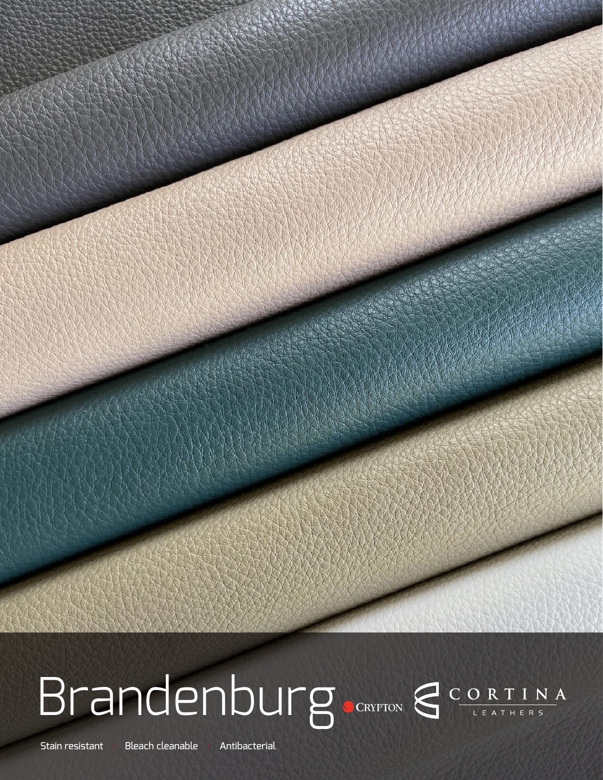

# Brandenburg CORTINA

Stain resistant | Bleach cleanable | Antibacterial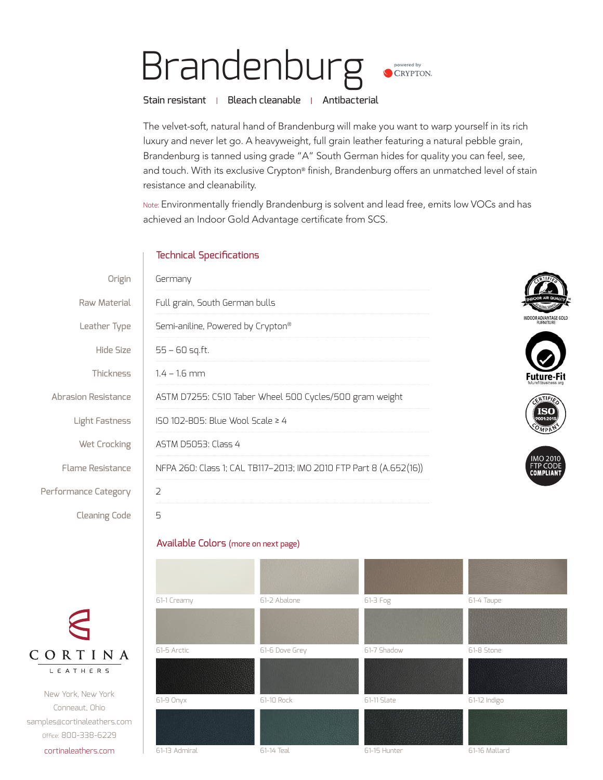### Brandenburg. powered by CRYPTON.

Stain resistant | Bleach cleanable | Antibacterial

The velvet-soft, natural hand of Brandenburg will make you want to warp yourself in its rich luxury and never let go. A heavyweight, full grain leather featuring a natural pebble grain, Brandenburg is tanned using grade "A" South German hides for quality you can feel, see, and touch. With its exclusive Crypton® finish, Brandenburg offers an unmatched level of stain resistance and cleanability.

Note: Environmentally friendly Brandenburg is solvent and lead free, emits low VOCs and has achieved an Indoor Gold Advantage certificate from SCS.

#### Technical Specifications

| Origin                  | Germany                                                            |                                     |  |
|-------------------------|--------------------------------------------------------------------|-------------------------------------|--|
| Raw Material            | Full grain, South German bulls                                     |                                     |  |
| Leather Type            | Semi-aniline, Powered by Crypton®                                  | NDOOR ADVANTAGE GOLI<br>FURNITURE   |  |
| Hide Size               | $55 - 60$ sq.ft.                                                   |                                     |  |
| <b>Thickness</b>        | $1.4 - 1.6$ mm                                                     | Future-Fi                           |  |
| Abrasion Resistance     | ASTM D7255: CS10 Taber Wheel 500 Cycles/500 gram weight            |                                     |  |
| Light Fastness          | ISO 102-B05: Blue Wool Scale ≥ 4                                   | ISO                                 |  |
| Wet Crocking            | ASTM D5053: Class 4                                                |                                     |  |
| <b>Flame Resistance</b> | NFPA 260: Class 1; CAL TB117-2013; IMO 2010 FTP Part 8 (A.652(16)) | <b>IMO 2010</b><br><b>COMPLIANT</b> |  |
| Performance Category    | $\overline{2}$                                                     |                                     |  |
| <b>Cleaning Code</b>    | 5                                                                  |                                     |  |
|                         |                                                                    |                                     |  |

#### Available Colors (more on next page)

New York, New York Conneaut, Ohio samples@cortinaleathers.com Office: 800-338-6229 cortinaleathers.com

CORTINA **LEATHERS** 

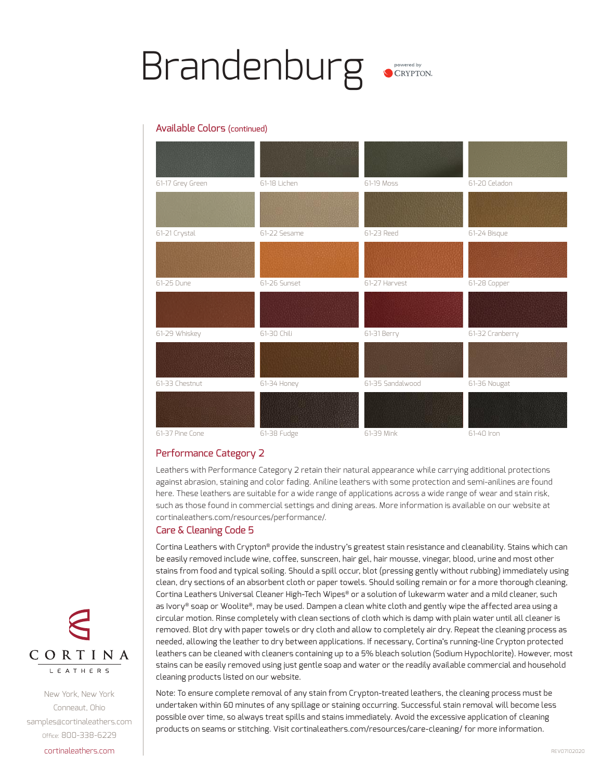### Brandenburg

#### Available Colors (continued)

| 61-17 Grey Green | 61-18 Lichen | 61-19 Moss       | 61-20 Celadon   |
|------------------|--------------|------------------|-----------------|
|                  |              |                  |                 |
| 61-21 Crystal    | 61-22 Sesame | 61-23 Reed       | 61-24 Bisque    |
|                  |              |                  |                 |
| 61-25 Dune       | 61-26 Sunset | 61-27 Harvest    | 61-28 Copper    |
|                  |              |                  |                 |
| 61-29 Whiskey    | 61-30 Chili  | 61-31 Berry      | 61-32 Cranberry |
|                  |              |                  |                 |
| 61-33 Chestnut   | 61-34 Honey  | 61-35 Sandalwood | 61-36 Nougat    |
|                  |              |                  |                 |
| 61-37 Pine Cone  | 61-38 Fudge  | 61-39 Mink       | 61-40 Iron      |

#### Performance Category 2

Leathers with Performance Category 2 retain their natural appearance while carrying additional protections against abrasion, staining and color fading. Aniline leathers with some protection and semi-anilines are found here. These leathers are suitable for a wide range of applications across a wide range of wear and stain risk, such as those found in commercial settings and dining areas. More information is available on our website at cortinaleathers.com/resources/performance/.

#### Care & Cleaning Code 5

Cortina Leathers with Crypton® provide the industry's greatest stain resistance and cleanability. Stains which can be easily removed include wine, coffee, sunscreen, hair gel, hair mousse, vinegar, blood, urine and most other stains from food and typical soiling. Should a spill occur, blot (pressing gently without rubbing) immediately using clean, dry sections of an absorbent cloth or paper towels. Should soiling remain or for a more thorough cleaning, Cortina Leathers Universal Cleaner High-Tech Wipes® or a solution of lukewarm water and a mild cleaner, such as Ivory® soap or Woolite®, may be used. Dampen a clean white cloth and gently wipe the affected area using a circular motion. Rinse completely with clean sections of cloth which is damp with plain water until all cleaner is removed. Blot dry with paper towels or dry cloth and allow to completely air dry. Repeat the cleaning process as needed, allowing the leather to dry between applications. If necessary, Cortina's running-line Crypton protected leathers can be cleaned with cleaners containing up to a 5% bleach solution (Sodium Hypochlorite). However, most stains can be easily removed using just gentle soap and water or the readily available commercial and household cleaning products listed on our website.

Note: To ensure complete removal of any stain from Crypton-treated leathers, the cleaning process must be undertaken within 60 minutes of any spillage or staining occurring. Successful stain removal will become less possible over time, so always treat spills and stains immediately. Avoid the excessive application of cleaning products on seams or stitching. Visit cortinaleathers.com/resources/care-cleaning/ for more information.



New York, New York Conneaut, Ohio samples@cortinaleathers.com Office: 800-338-6229 cortinaleathers.com